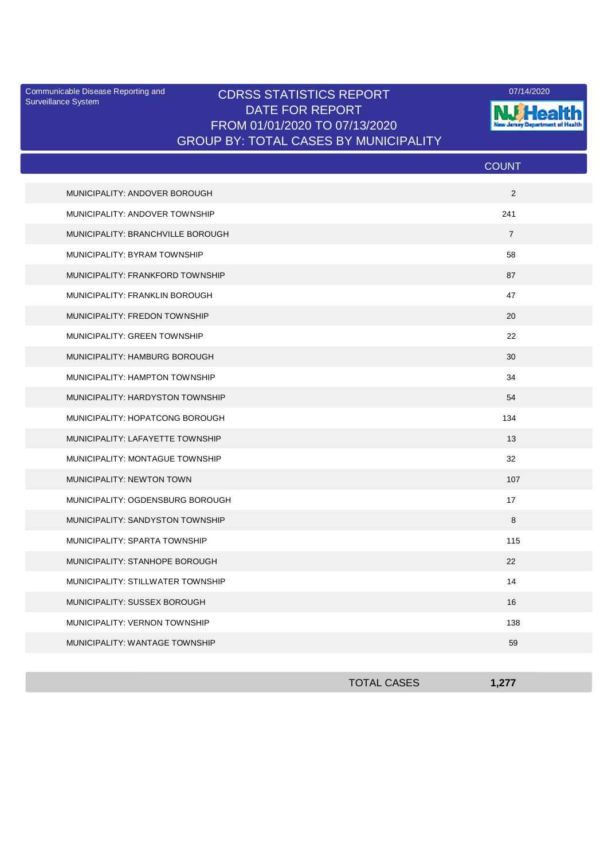Surveillance System

## Communicable Disease Reporting and **CDRSS STATISTICS REPORT** 2007/14/2020 DATE FOR REPORT FROM 01/01/2020 TO 07/13/2020 GROUP BY: TOTAL CASES BY MUNICIPALITY



|                                   | <b>COUNT</b>   |
|-----------------------------------|----------------|
| MUNICIPALITY: ANDOVER BOROUGH     | 2              |
| MUNICIPALITY: ANDOVER TOWNSHIP    | 241            |
| MUNICIPALITY: BRANCHVILLE BOROUGH | $\overline{7}$ |
| MUNICIPALITY: BYRAM TOWNSHIP      | 58             |
| MUNICIPALITY: FRANKFORD TOWNSHIP  | 87             |
| MUNICIPALITY: FRANKLIN BOROUGH    | 47             |
| MUNICIPALITY: FREDON TOWNSHIP     | 20             |
| MUNICIPALITY: GREEN TOWNSHIP      | 22             |
| MUNICIPALITY: HAMBURG BOROUGH     | 30             |
| MUNICIPALITY: HAMPTON TOWNSHIP    | 34             |
| MUNICIPALITY: HARDYSTON TOWNSHIP  | 54             |
| MUNICIPALITY: HOPATCONG BOROUGH   | 134            |
| MUNICIPALITY: LAFAYETTE TOWNSHIP  | 13             |
| MUNICIPALITY: MONTAGUE TOWNSHIP   | 32             |
| MUNICIPALITY: NEWTON TOWN         | 107            |
| MUNICIPALITY: OGDENSBURG BOROUGH  | 17             |
| MUNICIPALITY: SANDYSTON TOWNSHIP  | 8              |
| MUNICIPALITY: SPARTA TOWNSHIP     | 115            |
| MUNICIPALITY: STANHOPE BOROUGH    | 22             |
| MUNICIPALITY: STILLWATER TOWNSHIP | 14             |
| MUNICIPALITY: SUSSEX BOROUGH      | 16             |
| MUNICIPALITY: VERNON TOWNSHIP     | 138            |
| MUNICIPALITY: WANTAGE TOWNSHIP    | 59             |

| <b>TOTAL CASES</b> |  |
|--------------------|--|
|                    |  |